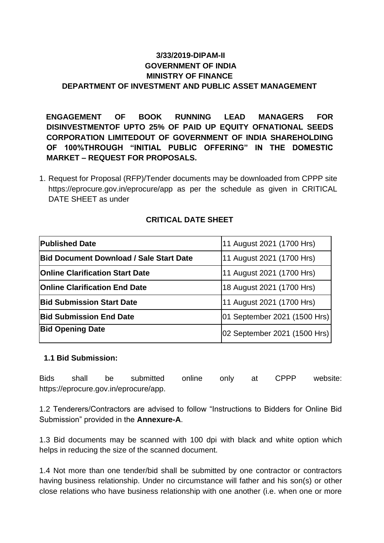## **3/33/2019-DIPAM-II GOVERNMENT OF INDIA MINISTRY OF FINANCE DEPARTMENT OF INVESTMENT AND PUBLIC ASSET MANAGEMENT**

**ENGAGEMENT OF BOOK RUNNING LEAD MANAGERS FOR DISINVESTMENTOF UPTO 25% OF PAID UP EQUITY OFNATIONAL SEEDS CORPORATION LIMITEDOUT OF GOVERNMENT OF INDIA SHAREHOLDING OF 100%THROUGH "INITIAL PUBLIC OFFERING" IN THE DOMESTIC MARKET – REQUEST FOR PROPOSALS.**

1. Request for Proposal (RFP)/Tender documents may be downloaded from CPPP site https://eprocure.gov.in/eprocure/app as per the schedule as given in CRITICAL DATE SHEET as under

| <b>Published Date</b>                          | 11 August 2021 (1700 Hrs)    |
|------------------------------------------------|------------------------------|
| <b>Bid Document Download / Sale Start Date</b> | 11 August 2021 (1700 Hrs)    |
| <b>Online Clarification Start Date</b>         | 11 August 2021 (1700 Hrs)    |
| <b>Online Clarification End Date</b>           | 18 August 2021 (1700 Hrs)    |
| <b>Bid Submission Start Date</b>               | 11 August 2021 (1700 Hrs)    |
| <b>Bid Submission End Date</b>                 | 01 September 2021 (1500 Hrs) |
| <b>Bid Opening Date</b>                        | 02 September 2021 (1500 Hrs) |

## **CRITICAL DATE SHEET**

#### **1.1 Bid Submission:**

Bids shall be submitted online only at CPPP website: https://eprocure.gov.in/eprocure/app.

1.2 Tenderers/Contractors are advised to follow "Instructions to Bidders for Online Bid Submission" provided in the **Annexure-A**.

1.3 Bid documents may be scanned with 100 dpi with black and white option which helps in reducing the size of the scanned document.

1.4 Not more than one tender/bid shall be submitted by one contractor or contractors having business relationship. Under no circumstance will father and his son(s) or other close relations who have business relationship with one another (i.e. when one or more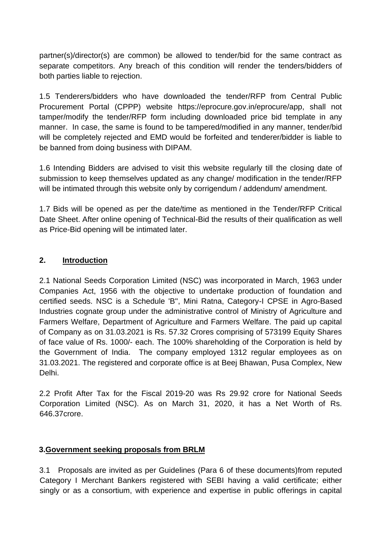partner(s)/director(s) are common) be allowed to tender/bid for the same contract as separate competitors. Any breach of this condition will render the tenders/bidders of both parties liable to rejection.

1.5 Tenderers/bidders who have downloaded the tender/RFP from Central Public Procurement Portal (CPPP) website https://eprocure.gov.in/eprocure/app, shall not tamper/modify the tender/RFP form including downloaded price bid template in any manner. In case, the same is found to be tampered/modified in any manner, tender/bid will be completely rejected and EMD would be forfeited and tenderer/bidder is liable to be banned from doing business with DIPAM.

1.6 Intending Bidders are advised to visit this website regularly till the closing date of submission to keep themselves updated as any change/ modification in the tender/RFP will be intimated through this website only by corrigendum / addendum/ amendment.

1.7 Bids will be opened as per the date/time as mentioned in the Tender/RFP Critical Date Sheet. After online opening of Technical-Bid the results of their qualification as well as Price-Bid opening will be intimated later.

## **2. Introduction**

2.1 National Seeds Corporation Limited (NSC) was incorporated in March, 1963 under Companies Act, 1956 with the objective to undertake production of foundation and certified seeds. NSC is a Schedule 'B'', Mini Ratna, Category-I CPSE in Agro-Based Industries cognate group under the administrative control of Ministry of Agriculture and Farmers Welfare, Department of Agriculture and Farmers Welfare. The paid up capital of Company as on 31.03.2021 is Rs. 57.32 Crores comprising of 573199 Equity Shares of face value of Rs. 1000/- each. The 100% shareholding of the Corporation is held by the Government of India. The company employed 1312 regular employees as on 31.03.2021. The registered and corporate office is at Beej Bhawan, Pusa Complex, New Delhi.

2.2 Profit After Tax for the Fiscal 2019-20 was Rs 29.92 crore for National Seeds Corporation Limited (NSC). As on March 31, 2020, it has a Net Worth of Rs. 646.37crore.

#### **3.Government seeking proposals from BRLM**

3.1 Proposals are invited as per Guidelines (Para 6 of these documents)from reputed Category I Merchant Bankers registered with SEBI having a valid certificate; either singly or as a consortium, with experience and expertise in public offerings in capital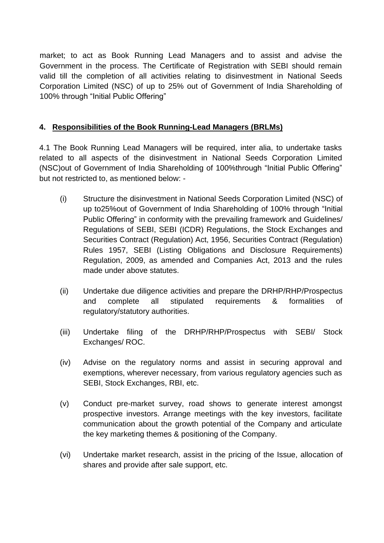market; to act as Book Running Lead Managers and to assist and advise the Government in the process. The Certificate of Registration with SEBI should remain valid till the completion of all activities relating to disinvestment in National Seeds Corporation Limited (NSC) of up to 25% out of Government of India Shareholding of 100% through "Initial Public Offering"

## **4. Responsibilities of the Book Running-Lead Managers (BRLMs)**

4.1 The Book Running Lead Managers will be required, inter alia, to undertake tasks related to all aspects of the disinvestment in National Seeds Corporation Limited (NSC)out of Government of India Shareholding of 100%through "Initial Public Offering" but not restricted to, as mentioned below: -

- (i) Structure the disinvestment in National Seeds Corporation Limited (NSC) of up to25%out of Government of India Shareholding of 100% through "Initial Public Offering" in conformity with the prevailing framework and Guidelines/ Regulations of SEBI, SEBI (ICDR) Regulations, the Stock Exchanges and Securities Contract (Regulation) Act, 1956, Securities Contract (Regulation) Rules 1957, SEBI (Listing Obligations and Disclosure Requirements) Regulation, 2009, as amended and Companies Act, 2013 and the rules made under above statutes.
- (ii) Undertake due diligence activities and prepare the DRHP/RHP/Prospectus and complete all stipulated requirements & formalities of regulatory/statutory authorities.
- (iii) Undertake filing of the DRHP/RHP/Prospectus with SEBI/ Stock Exchanges/ ROC.
- (iv) Advise on the regulatory norms and assist in securing approval and exemptions, wherever necessary, from various regulatory agencies such as SEBI, Stock Exchanges, RBI, etc.
- (v) Conduct pre-market survey, road shows to generate interest amongst prospective investors. Arrange meetings with the key investors, facilitate communication about the growth potential of the Company and articulate the key marketing themes & positioning of the Company.
- (vi) Undertake market research, assist in the pricing of the Issue, allocation of shares and provide after sale support, etc.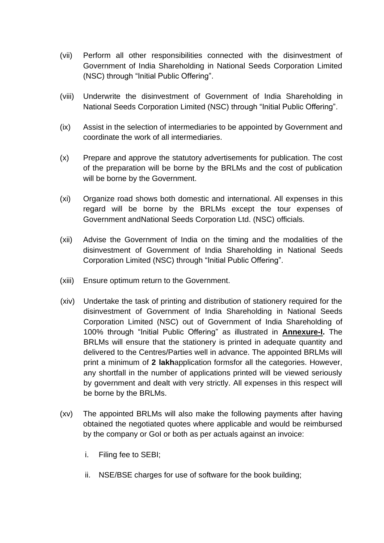- (vii) Perform all other responsibilities connected with the disinvestment of Government of India Shareholding in National Seeds Corporation Limited (NSC) through "Initial Public Offering".
- (viii) Underwrite the disinvestment of Government of India Shareholding in National Seeds Corporation Limited (NSC) through "Initial Public Offering".
- (ix) Assist in the selection of intermediaries to be appointed by Government and coordinate the work of all intermediaries.
- (x) Prepare and approve the statutory advertisements for publication. The cost of the preparation will be borne by the BRLMs and the cost of publication will be borne by the Government.
- (xi) Organize road shows both domestic and international. All expenses in this regard will be borne by the BRLMs except the tour expenses of Government andNational Seeds Corporation Ltd. (NSC) officials.
- (xii) Advise the Government of India on the timing and the modalities of the disinvestment of Government of India Shareholding in National Seeds Corporation Limited (NSC) through "Initial Public Offering".
- (xiii) Ensure optimum return to the Government.
- (xiv) Undertake the task of printing and distribution of stationery required for the disinvestment of Government of India Shareholding in National Seeds Corporation Limited (NSC) out of Government of India Shareholding of 100% through "Initial Public Offering" as illustrated in **Annexure-I.** The BRLMs will ensure that the stationery is printed in adequate quantity and delivered to the Centres/Parties well in advance. The appointed BRLMs will print a minimum of **2 lakh**application formsfor all the categories. However, any shortfall in the number of applications printed will be viewed seriously by government and dealt with very strictly. All expenses in this respect will be borne by the BRLMs.
- (xv) The appointed BRLMs will also make the following payments after having obtained the negotiated quotes where applicable and would be reimbursed by the company or GoI or both as per actuals against an invoice:
	- i. Filing fee to SEBI;
	- ii. NSE/BSE charges for use of software for the book building;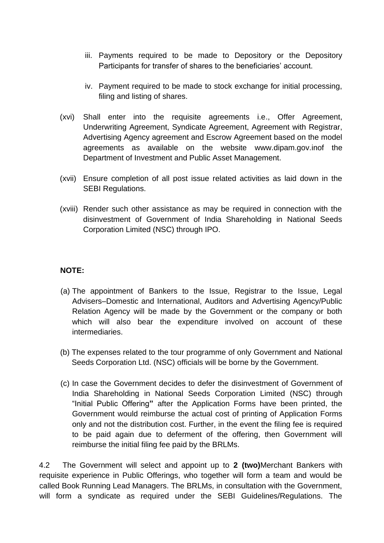- iii. Payments required to be made to Depository or the Depository Participants for transfer of shares to the beneficiaries' account.
- iv. Payment required to be made to stock exchange for initial processing, filing and listing of shares.
- (xvi) Shall enter into the requisite agreements i.e., Offer Agreement, Underwriting Agreement, Syndicate Agreement, Agreement with Registrar, Advertising Agency agreement and Escrow Agreement based on the model agreements as available on the website [www.dipam.gov.ino](http://www.dipam.gov.in/)f the Department of Investment and Public Asset Management.
- (xvii) Ensure completion of all post issue related activities as laid down in the SEBI Regulations.
- (xviii) Render such other assistance as may be required in connection with the disinvestment of Government of India Shareholding in National Seeds Corporation Limited (NSC) through IPO.

## **NOTE:**

- (a) The appointment of Bankers to the Issue, Registrar to the Issue, Legal Advisers–Domestic and International, Auditors and Advertising Agency/Public Relation Agency will be made by the Government or the company or both which will also bear the expenditure involved on account of these intermediaries.
- (b) The expenses related to the tour programme of only Government and National Seeds Corporation Ltd. (NSC) officials will be borne by the Government.
- (c) In case the Government decides to defer the disinvestment of Government of India Shareholding in National Seeds Corporation Limited (NSC) through "Initial Public Offering**"** after the Application Forms have been printed, the Government would reimburse the actual cost of printing of Application Forms only and not the distribution cost. Further, in the event the filing fee is required to be paid again due to deferment of the offering, then Government will reimburse the initial filing fee paid by the BRLMs.

4.2 The Government will select and appoint up to **2 (two)**Merchant Bankers with requisite experience in Public Offerings, who together will form a team and would be called Book Running Lead Managers. The BRLMs, in consultation with the Government, will form a syndicate as required under the SEBI Guidelines/Regulations. The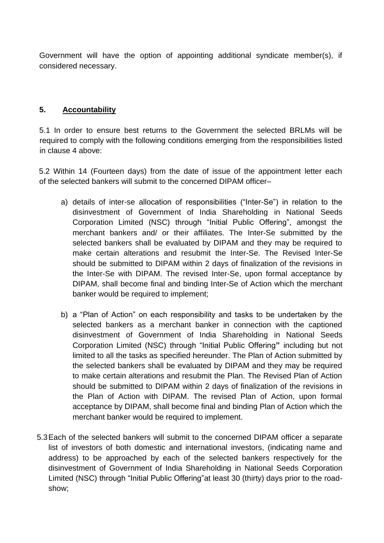Government will have the option of appointing additional syndicate member(s), if considered necessary.

### **5. Accountability**

5.1 In order to ensure best returns to the Government the selected BRLMs will be required to comply with the following conditions emerging from the responsibilities listed in clause 4 above:

5.2 Within 14 (Fourteen days) from the date of issue of the appointment letter each of the selected bankers will submit to the concerned DIPAM officer–

- a) details of inter-se allocation of responsibilities ("Inter-Se") in relation to the disinvestment of Government of India Shareholding in National Seeds Corporation Limited (NSC) through "Initial Public Offering", amongst the merchant bankers and/ or their affiliates. The Inter-Se submitted by the selected bankers shall be evaluated by DIPAM and they may be required to make certain alterations and resubmit the Inter-Se. The Revised Inter-Se should be submitted to DIPAM within 2 days of finalization of the revisions in the Inter-Se with DIPAM. The revised Inter-Se, upon formal acceptance by DIPAM, shall become final and binding Inter-Se of Action which the merchant banker would be required to implement;
- b) a "Plan of Action" on each responsibility and tasks to be undertaken by the selected bankers as a merchant banker in connection with the captioned disinvestment of Government of India Shareholding in National Seeds Corporation Limited (NSC) through "Initial Public Offering**"** including but not limited to all the tasks as specified hereunder. The Plan of Action submitted by the selected bankers shall be evaluated by DIPAM and they may be required to make certain alterations and resubmit the Plan. The Revised Plan of Action should be submitted to DIPAM within 2 days of finalization of the revisions in the Plan of Action with DIPAM. The revised Plan of Action, upon formal acceptance by DIPAM, shall become final and binding Plan of Action which the merchant banker would be required to implement.
- 5.3Each of the selected bankers will submit to the concerned DIPAM officer a separate list of investors of both domestic and international investors, (indicating name and address) to be approached by each of the selected bankers respectively for the disinvestment of Government of India Shareholding in National Seeds Corporation Limited (NSC) through "Initial Public Offering"at least 30 (thirty) days prior to the roadshow;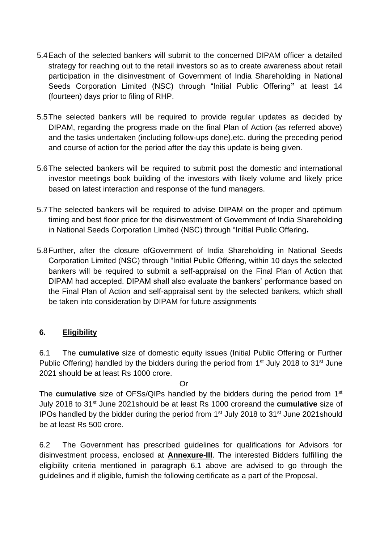- 5.4Each of the selected bankers will submit to the concerned DIPAM officer a detailed strategy for reaching out to the retail investors so as to create awareness about retail participation in the disinvestment of Government of India Shareholding in National Seeds Corporation Limited (NSC) through "Initial Public Offering**"** at least 14 (fourteen) days prior to filing of RHP.
- 5.5The selected bankers will be required to provide regular updates as decided by DIPAM, regarding the progress made on the final Plan of Action (as referred above) and the tasks undertaken (including follow-ups done),etc. during the preceding period and course of action for the period after the day this update is being given.
- 5.6The selected bankers will be required to submit post the domestic and international investor meetings book building of the investors with likely volume and likely price based on latest interaction and response of the fund managers.
- 5.7The selected bankers will be required to advise DIPAM on the proper and optimum timing and best floor price for the disinvestment of Government of India Shareholding in National Seeds Corporation Limited (NSC) through "Initial Public Offering**.**
- 5.8Further, after the closure ofGovernment of India Shareholding in National Seeds Corporation Limited (NSC) through "Initial Public Offering, within 10 days the selected bankers will be required to submit a self-appraisal on the Final Plan of Action that DIPAM had accepted. DIPAM shall also evaluate the bankers' performance based on the Final Plan of Action and self-appraisal sent by the selected bankers, which shall be taken into consideration by DIPAM for future assignments

## **6. Eligibility**

6.1 The **cumulative** size of domestic equity issues (Initial Public Offering or Further Public Offering) handled by the bidders during the period from 1<sup>st</sup> July 2018 to 31<sup>st</sup> June 2021 should be at least Rs 1000 crore.

**Contract Contract Contract Contract Contract Contract Contract Contract Contract Contract Contract Contract Contract Contract Contract Contract Contract Contract Contract Contract Contract Contract Contract Contract Contr** 

The **cumulative** size of OFSs/QIPs handled by the bidders during the period from 1<sup>st</sup> July 2018 to 31st June 2021should be at least Rs 1000 croreand the **cumulative** size of IPOs handled by the bidder during the period from 1<sup>st</sup> July 2018 to 31<sup>st</sup> June 2021 should be at least Rs 500 crore.

6.2 The Government has prescribed guidelines for qualifications for Advisors for disinvestment process, enclosed at **Annexure-III**. The interested Bidders fulfilling the eligibility criteria mentioned in paragraph 6.1 above are advised to go through the guidelines and if eligible, furnish the following certificate as a part of the Proposal,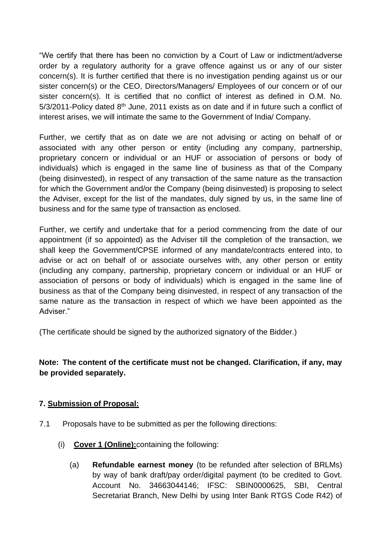"We certify that there has been no conviction by a Court of Law or indictment/adverse order by a regulatory authority for a grave offence against us or any of our sister concern(s). It is further certified that there is no investigation pending against us or our sister concern(s) or the CEO, Directors/Managers/ Employees of our concern or of our sister concern(s). It is certified that no conflict of interest as defined in O.M. No.  $5/3/2011$ -Policy dated  $8<sup>th</sup>$  June, 2011 exists as on date and if in future such a conflict of interest arises, we will intimate the same to the Government of India/ Company.

Further, we certify that as on date we are not advising or acting on behalf of or associated with any other person or entity (including any company, partnership, proprietary concern or individual or an HUF or association of persons or body of individuals) which is engaged in the same line of business as that of the Company (being disinvested), in respect of any transaction of the same nature as the transaction for which the Government and/or the Company (being disinvested) is proposing to select the Adviser, except for the list of the mandates, duly signed by us, in the same line of business and for the same type of transaction as enclosed.

Further, we certify and undertake that for a period commencing from the date of our appointment (if so appointed) as the Adviser till the completion of the transaction, we shall keep the Government/CPSE informed of any mandate/contracts entered into, to advise or act on behalf of or associate ourselves with, any other person or entity (including any company, partnership, proprietary concern or individual or an HUF or association of persons or body of individuals) which is engaged in the same line of business as that of the Company being disinvested, in respect of any transaction of the same nature as the transaction in respect of which we have been appointed as the Adviser."

(The certificate should be signed by the authorized signatory of the Bidder.)

## **Note: The content of the certificate must not be changed. Clarification, if any, may be provided separately.**

#### **7. Submission of Proposal:**

- 7.1 Proposals have to be submitted as per the following directions:
	- (i) **Cover 1 (Online):**containing the following:
		- (a) **Refundable earnest money** (to be refunded after selection of BRLMs) by way of bank draft/pay order/digital payment (to be credited to Govt. Account No. 34663044146; IFSC: SBIN0000625, SBI, Central Secretariat Branch, New Delhi by using Inter Bank RTGS Code R42) of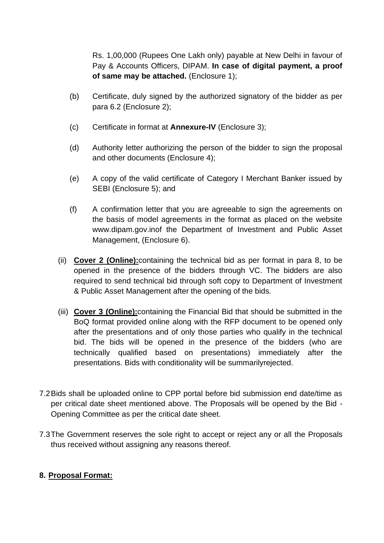Rs. 1,00,000 (Rupees One Lakh only) payable at New Delhi in favour of Pay & Accounts Officers, DIPAM. **In case of digital payment, a proof of same may be attached.** (Enclosure 1);

- (b) Certificate, duly signed by the authorized signatory of the bidder as per para 6.2 (Enclosure 2);
- (c) Certificate in format at **Annexure-IV** (Enclosure 3);
- (d) Authority letter authorizing the person of the bidder to sign the proposal and other documents (Enclosure 4);
- (e) A copy of the valid certificate of Category I Merchant Banker issued by SEBI (Enclosure 5); and
- (f) A confirmation letter that you are agreeable to sign the agreements on the basis of model agreements in the format as placed on the website [www.dipam.gov.ino](http://www.dipam.gov.in/)f the Department of Investment and Public Asset Management, (Enclosure 6).
- (ii) **Cover 2 (Online):**containing the technical bid as per format in para 8, to be opened in the presence of the bidders through VC. The bidders are also required to send technical bid through soft copy to Department of Investment & Public Asset Management after the opening of the bids.
- (iii) **Cover 3 (Online):**containing the Financial Bid that should be submitted in the BoQ format provided online along with the RFP document to be opened only after the presentations and of only those parties who qualify in the technical bid. The bids will be opened in the presence of the bidders (who are technically qualified based on presentations) immediately after the presentations. Bids with conditionality will be summarilyrejected.
- 7.2Bids shall be uploaded online to CPP portal before bid submission end date/time as per critical date sheet mentioned above. The Proposals will be opened by the Bid - Opening Committee as per the critical date sheet.
- 7.3The Government reserves the sole right to accept or reject any or all the Proposals thus received without assigning any reasons thereof.

## **8. Proposal Format:**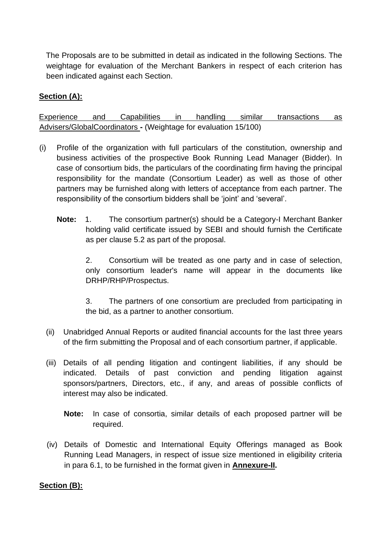The Proposals are to be submitted in detail as indicated in the following Sections. The weightage for evaluation of the Merchant Bankers in respect of each criterion has been indicated against each Section.

#### **Section (A):**

Experience and Capabilities in handling similar transactions as Advisers/GlobalCoordinators **-** (Weightage for evaluation 15/100)

- (i) Profile of the organization with full particulars of the constitution, ownership and business activities of the prospective Book Running Lead Manager (Bidder). In case of consortium bids, the particulars of the coordinating firm having the principal responsibility for the mandate (Consortium Leader) as well as those of other partners may be furnished along with letters of acceptance from each partner. The responsibility of the consortium bidders shall be 'joint' and 'several'.
	- **Note:** 1. The consortium partner(s) should be a Category-I Merchant Banker holding valid certificate issued by SEBI and should furnish the Certificate as per clause 5.2 as part of the proposal.

2. Consortium will be treated as one party and in case of selection, only consortium leader's name will appear in the documents like DRHP/RHP/Prospectus.

3. The partners of one consortium are precluded from participating in the bid, as a partner to another consortium.

- (ii) Unabridged Annual Reports or audited financial accounts for the last three years of the firm submitting the Proposal and of each consortium partner, if applicable.
- (iii) Details of all pending litigation and contingent liabilities, if any should be indicated. Details of past conviction and pending litigation against sponsors/partners, Directors, etc., if any, and areas of possible conflicts of interest may also be indicated.
	- **Note:** In case of consortia, similar details of each proposed partner will be required.
- (iv) Details of Domestic and International Equity Offerings managed as Book Running Lead Managers, in respect of issue size mentioned in eligibility criteria in para 6.1, to be furnished in the format given in **Annexure-II.**

## **Section (B):**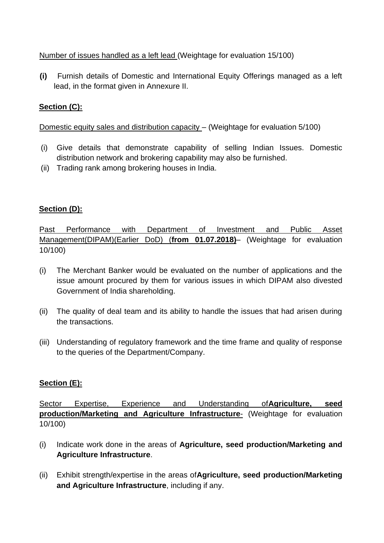Number of issues handled as a left lead (Weightage for evaluation 15/100)

**(i)** Furnish details of Domestic and International Equity Offerings managed as a left lead, in the format given in Annexure II.

# **Section (C):**

Domestic equity sales and distribution capacity – (Weightage for evaluation 5/100)

- (i) Give details that demonstrate capability of selling Indian Issues. Domestic distribution network and brokering capability may also be furnished.
- (ii) Trading rank among brokering houses in India.

## **Section (D):**

Past Performance with Department of Investment and Public Asset Management(DIPAM)(Earlier DoD) (**from 01.07.2018)**– (Weightage for evaluation 10/100)

- (i) The Merchant Banker would be evaluated on the number of applications and the issue amount procured by them for various issues in which DIPAM also divested Government of India shareholding.
- (ii) The quality of deal team and its ability to handle the issues that had arisen during the transactions.
- (iii) Understanding of regulatory framework and the time frame and quality of response to the queries of the Department/Company.

# **Section (E):**

Sector Expertise, Experience and Understanding of**Agriculture, seed production/Marketing and Agriculture Infrastructure**- (Weightage for evaluation 10/100)

- (i) Indicate work done in the areas of **Agriculture, seed production/Marketing and Agriculture Infrastructure**.
- (ii) Exhibit strength/expertise in the areas of**Agriculture, seed production/Marketing and Agriculture Infrastructure**, including if any.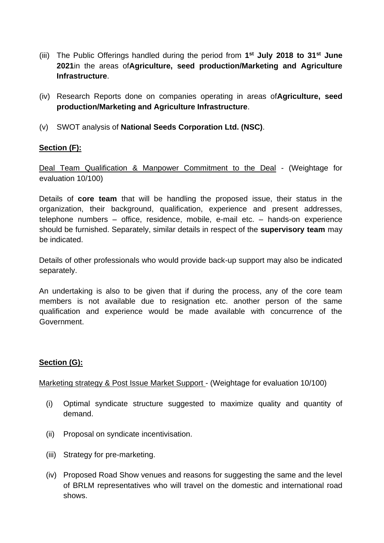- (iii) The Public Offerings handled during the period from **1 st July 2018 to 31st June 2021**in the areas of**Agriculture, seed production/Marketing and Agriculture Infrastructure**.
- (iv) Research Reports done on companies operating in areas of**Agriculture, seed production/Marketing and Agriculture Infrastructure**.
- (v) SWOT analysis of **National Seeds Corporation Ltd. (NSC)**.

#### **Section (F):**

Deal Team Qualification & Manpower Commitment to the Deal - (Weightage for evaluation 10/100)

Details of **core team** that will be handling the proposed issue, their status in the organization, their background, qualification, experience and present addresses, telephone numbers – office, residence, mobile, e-mail etc. – hands-on experience should be furnished. Separately, similar details in respect of the **supervisory team** may be indicated.

Details of other professionals who would provide back-up support may also be indicated separately.

An undertaking is also to be given that if during the process, any of the core team members is not available due to resignation etc. another person of the same qualification and experience would be made available with concurrence of the Government.

## **Section (G):**

Marketing strategy & Post Issue Market Support - (Weightage for evaluation 10/100)

- (i) Optimal syndicate structure suggested to maximize quality and quantity of demand.
- (ii) Proposal on syndicate incentivisation.
- (iii) Strategy for pre-marketing.
- (iv) Proposed Road Show venues and reasons for suggesting the same and the level of BRLM representatives who will travel on the domestic and international road shows.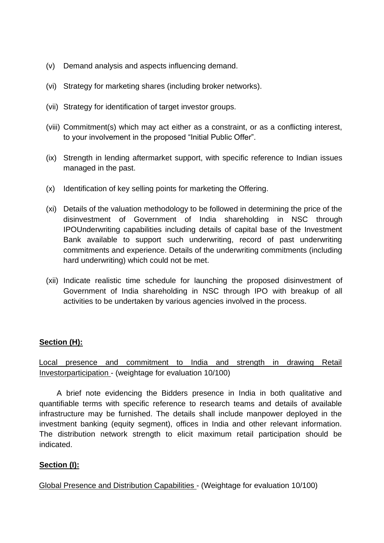- (v) Demand analysis and aspects influencing demand.
- (vi) Strategy for marketing shares (including broker networks).
- (vii) Strategy for identification of target investor groups.
- (viii) Commitment(s) which may act either as a constraint, or as a conflicting interest, to your involvement in the proposed "Initial Public Offer".
- (ix) Strength in lending aftermarket support, with specific reference to Indian issues managed in the past.
- (x) Identification of key selling points for marketing the Offering.
- (xi) Details of the valuation methodology to be followed in determining the price of the disinvestment of Government of India shareholding in NSC through IPOUnderwriting capabilities including details of capital base of the Investment Bank available to support such underwriting, record of past underwriting commitments and experience. Details of the underwriting commitments (including hard underwriting) which could not be met.
- (xii) Indicate realistic time schedule for launching the proposed disinvestment of Government of India shareholding in NSC through IPO with breakup of all activities to be undertaken by various agencies involved in the process.

## **Section (H):**

Local presence and commitment to India and strength in drawing Retail Investorparticipation - (weightage for evaluation 10/100)

A brief note evidencing the Bidders presence in India in both qualitative and quantifiable terms with specific reference to research teams and details of available infrastructure may be furnished. The details shall include manpower deployed in the investment banking (equity segment), offices in India and other relevant information. The distribution network strength to elicit maximum retail participation should be indicated.

## **Section (I):**

Global Presence and Distribution Capabilities - (Weightage for evaluation 10/100)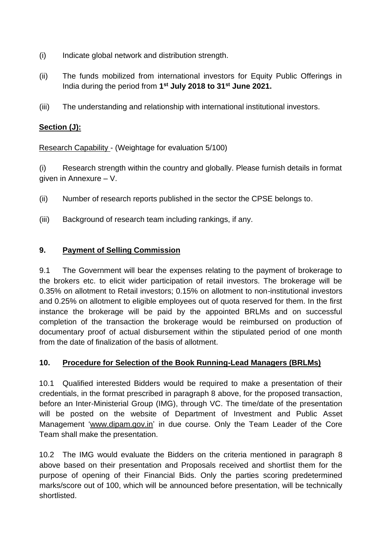- (i) Indicate global network and distribution strength.
- (ii) The funds mobilized from international investors for Equity Public Offerings in India during the period from **1 st July 2018 to 31st June 2021.**
- (iii) The understanding and relationship with international institutional investors.

## **Section (J):**

Research Capability - (Weightage for evaluation 5/100)

(i) Research strength within the country and globally. Please furnish details in format given in Annexure – V.

- (ii) Number of research reports published in the sector the CPSE belongs to.
- (iii) Background of research team including rankings, if any.

## **9. Payment of Selling Commission**

9.1 The Government will bear the expenses relating to the payment of brokerage to the brokers etc. to elicit wider participation of retail investors. The brokerage will be 0.35% on allotment to Retail investors; 0.15% on allotment to non-institutional investors and 0.25% on allotment to eligible employees out of quota reserved for them. In the first instance the brokerage will be paid by the appointed BRLMs and on successful completion of the transaction the brokerage would be reimbursed on production of documentary proof of actual disbursement within the stipulated period of one month from the date of finalization of the basis of allotment.

## **10. Procedure for Selection of the Book Running-Lead Managers (BRLMs)**

10.1 Qualified interested Bidders would be required to make a presentation of their credentials, in the format prescribed in paragraph 8 above, for the proposed transaction, before an Inter-Ministerial Group (IMG), through VC. The time/date of the presentation will be posted on the website of Department of Investment and Public Asset Management ['www.dipam.gov.in'](http://www.dipam.gov.in/) in due course. Only the Team Leader of the Core Team shall make the presentation.

10.2 The IMG would evaluate the Bidders on the criteria mentioned in paragraph 8 above based on their presentation and Proposals received and shortlist them for the purpose of opening of their Financial Bids. Only the parties scoring predetermined marks/score out of 100, which will be announced before presentation, will be technically shortlisted.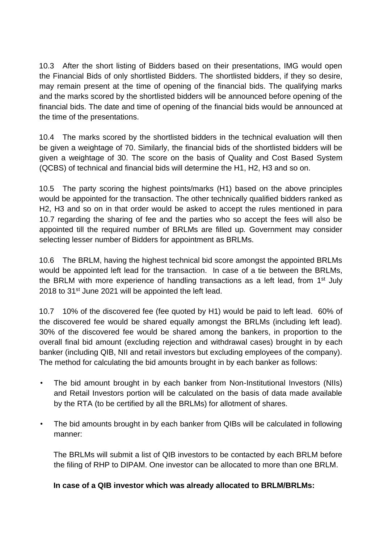10.3 After the short listing of Bidders based on their presentations, IMG would open the Financial Bids of only shortlisted Bidders. The shortlisted bidders, if they so desire, may remain present at the time of opening of the financial bids. The qualifying marks and the marks scored by the shortlisted bidders will be announced before opening of the financial bids. The date and time of opening of the financial bids would be announced at the time of the presentations.

10.4 The marks scored by the shortlisted bidders in the technical evaluation will then be given a weightage of 70. Similarly, the financial bids of the shortlisted bidders will be given a weightage of 30. The score on the basis of Quality and Cost Based System (QCBS) of technical and financial bids will determine the H1, H2, H3 and so on.

10.5 The party scoring the highest points/marks (H1) based on the above principles would be appointed for the transaction. The other technically qualified bidders ranked as H2, H3 and so on in that order would be asked to accept the rules mentioned in para 10.7 regarding the sharing of fee and the parties who so accept the fees will also be appointed till the required number of BRLMs are filled up*.* Government may consider selecting lesser number of Bidders for appointment as BRLMs.

10.6 The BRLM, having the highest technical bid score amongst the appointed BRLMs would be appointed left lead for the transaction. In case of a tie between the BRLMs, the BRLM with more experience of handling transactions as a left lead, from 1<sup>st</sup> July 2018 to  $31<sup>st</sup>$  June 2021 will be appointed the left lead.

10.7 10% of the discovered fee (fee quoted by H1) would be paid to left lead. 60% of the discovered fee would be shared equally amongst the BRLMs (including left lead). 30% of the discovered fee would be shared among the bankers, in proportion to the overall final bid amount (excluding rejection and withdrawal cases) brought in by each banker (including QIB, NII and retail investors but excluding employees of the company). The method for calculating the bid amounts brought in by each banker as follows:

- The bid amount brought in by each banker from Non-Institutional Investors (NIIs) and Retail Investors portion will be calculated on the basis of data made available by the RTA (to be certified by all the BRLMs) for allotment of shares.
- The bid amounts brought in by each banker from QIBs will be calculated in following manner:

The BRLMs will submit a list of QIB investors to be contacted by each BRLM before the filing of RHP to DIPAM. One investor can be allocated to more than one BRLM.

**In case of a QIB investor which was already allocated to BRLM/BRLMs:**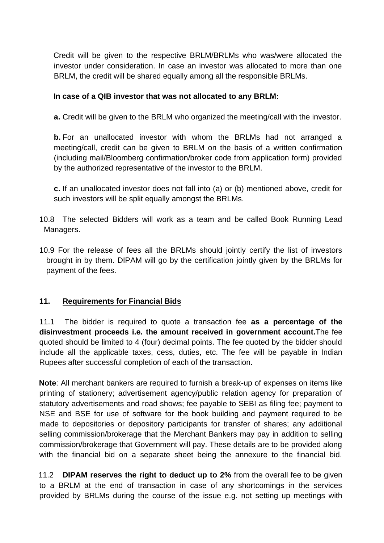Credit will be given to the respective BRLM/BRLMs who was/were allocated the investor under consideration. In case an investor was allocated to more than one BRLM, the credit will be shared equally among all the responsible BRLMs.

#### **In case of a QIB investor that was not allocated to any BRLM:**

**a.** Credit will be given to the BRLM who organized the meeting/call with the investor.

**b.** For an unallocated investor with whom the BRLMs had not arranged a meeting/call, credit can be given to BRLM on the basis of a written confirmation (including mail/Bloomberg confirmation/broker code from application form) provided by the authorized representative of the investor to the BRLM.

**c.** If an unallocated investor does not fall into (a) or (b) mentioned above, credit for such investors will be split equally amongst the BRLMs.

- 10.8 The selected Bidders will work as a team and be called Book Running Lead Managers.
- 10.9 For the release of fees all the BRLMs should jointly certify the list of investors brought in by them. DIPAM will go by the certification jointly given by the BRLMs for payment of the fees.

## **11. Requirements for Financial Bids**

11.1 The bidder is required to quote a transaction fee **as a percentage of the disinvestment proceeds i.e. the amount received in government account.**The fee quoted should be limited to 4 (four) decimal points. The fee quoted by the bidder should include all the applicable taxes, cess, duties, etc. The fee will be payable in Indian Rupees after successful completion of each of the transaction.

**Note**: All merchant bankers are required to furnish a break-up of expenses on items like printing of stationery; advertisement agency/public relation agency for preparation of statutory advertisements and road shows; fee payable to SEBI as filing fee; payment to NSE and BSE for use of software for the book building and payment required to be made to depositories or depository participants for transfer of shares; any additional selling commission/brokerage that the Merchant Bankers may pay in addition to selling commission/brokerage that Government will pay. These details are to be provided along with the financial bid on a separate sheet being the annexure to the financial bid.

11.2 **DIPAM reserves the right to deduct up to 2%** from the overall fee to be given to a BRLM at the end of transaction in case of any shortcomings in the services provided by BRLMs during the course of the issue e.g. not setting up meetings with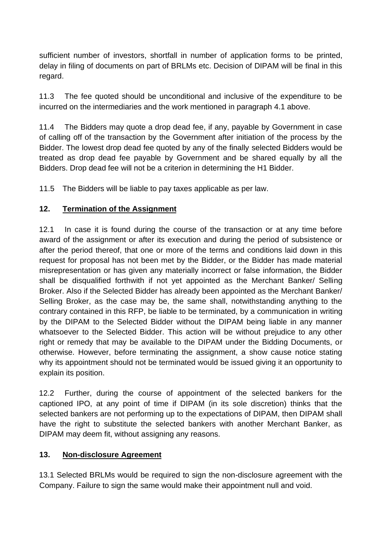sufficient number of investors, shortfall in number of application forms to be printed, delay in filing of documents on part of BRLMs etc. Decision of DIPAM will be final in this regard.

11.3 The fee quoted should be unconditional and inclusive of the expenditure to be incurred on the intermediaries and the work mentioned in paragraph 4.1 above.

11.4 The Bidders may quote a drop dead fee, if any, payable by Government in case of calling off of the transaction by the Government after initiation of the process by the Bidder. The lowest drop dead fee quoted by any of the finally selected Bidders would be treated as drop dead fee payable by Government and be shared equally by all the Bidders. Drop dead fee will not be a criterion in determining the H1 Bidder.

11.5 The Bidders will be liable to pay taxes applicable as per law.

## **12. Termination of the Assignment**

12.1 In case it is found during the course of the transaction or at any time before award of the assignment or after its execution and during the period of subsistence or after the period thereof, that one or more of the terms and conditions laid down in this request for proposal has not been met by the Bidder, or the Bidder has made material misrepresentation or has given any materially incorrect or false information, the Bidder shall be disqualified forthwith if not yet appointed as the Merchant Banker/ Selling Broker. Also if the Selected Bidder has already been appointed as the Merchant Banker/ Selling Broker, as the case may be, the same shall, notwithstanding anything to the contrary contained in this RFP, be liable to be terminated, by a communication in writing by the DIPAM to the Selected Bidder without the DIPAM being liable in any manner whatsoever to the Selected Bidder. This action will be without prejudice to any other right or remedy that may be available to the DIPAM under the Bidding Documents, or otherwise. However, before terminating the assignment, a show cause notice stating why its appointment should not be terminated would be issued giving it an opportunity to explain its position.

12.2 Further, during the course of appointment of the selected bankers for the captioned IPO, at any point of time if DIPAM (in its sole discretion) thinks that the selected bankers are not performing up to the expectations of DIPAM, then DIPAM shall have the right to substitute the selected bankers with another Merchant Banker, as DIPAM may deem fit, without assigning any reasons.

## **13. Non-disclosure Agreement**

13.1 Selected BRLMs would be required to sign the non-disclosure agreement with the Company. Failure to sign the same would make their appointment null and void.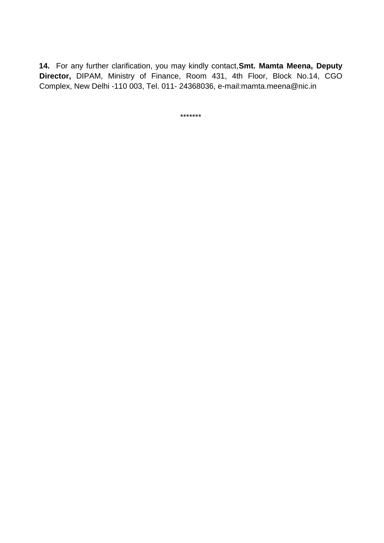**14.** For any further clarification, you may kindly contact,**Smt. Mamta Meena, Deputy Director,** DIPAM, Ministry of Finance, Room 431, 4th Floor, Block No.14, CGO Complex, New Delhi -110 003, Tel. 011- 24368036, e-mail:mamta.meena@nic.in

\*\*\*\*\*\*\*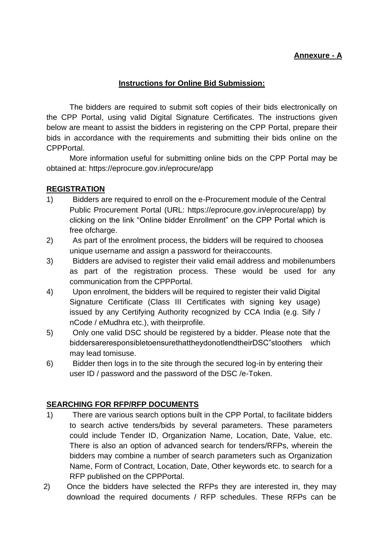## **Annexure - A**

## **Instructions for Online Bid Submission:**

The bidders are required to submit soft copies of their bids electronically on the CPP Portal, using valid Digital Signature Certificates. The instructions given below are meant to assist the bidders in registering on the CPP Portal, prepare their bids in accordance with the requirements and submitting their bids online on the CPPPortal.

More information useful for submitting online bids on the CPP Portal may be obtained at: https://eprocure.gov.in/eprocure/app

## **REGISTRATION**

- 1) Bidders are required to enroll on the e-Procurement module of the Central Public Procurement Portal (URL: https://eprocure.gov.in/eprocure/app) by clicking on the link "Online bidder Enrollment" on the CPP Portal which is free ofcharge.
- 2) As part of the enrolment process, the bidders will be required to choosea unique username and assign a password for theiraccounts.
- 3) Bidders are advised to register their valid email address and mobilenumbers as part of the registration process. These would be used for any communication from the CPPPortal.
- 4) Upon enrolment, the bidders will be required to register their valid Digital Signature Certificate (Class III Certificates with signing key usage) issued by any Certifying Authority recognized by CCA India (e.g. Sify / nCode / eMudhra etc.), with theirprofile.
- 5) Only one valid DSC should be registered by a bidder. Please note that the biddersareresponsibletoensurethattheydonotlendtheirDSC"stoothers which may lead tomisuse.
- 6) Bidder then logs in to the site through the secured log-in by entering their user ID / password and the password of the DSC /e-Token.

## **SEARCHING FOR RFP/RFP DOCUMENTS**

- 1) There are various search options built in the CPP Portal, to facilitate bidders to search active tenders/bids by several parameters. These parameters could include Tender ID, Organization Name, Location, Date, Value, etc. There is also an option of advanced search for tenders/RFPs, wherein the bidders may combine a number of search parameters such as Organization Name, Form of Contract, Location, Date, Other keywords etc. to search for a RFP published on the CPPPortal.
- 2) Once the bidders have selected the RFPs they are interested in, they may download the required documents / RFP schedules. These RFPs can be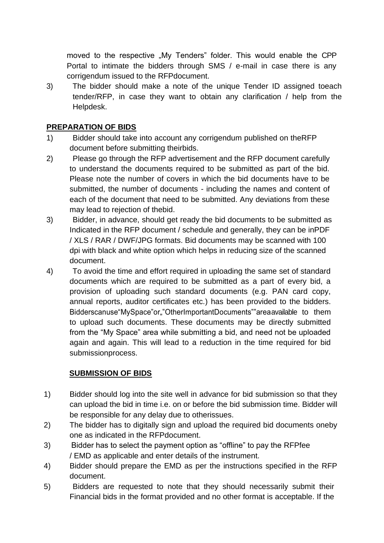moved to the respective "My Tenders" folder. This would enable the CPP Portal to intimate the bidders through SMS / e-mail in case there is any corrigendum issued to the RFPdocument.

3) The bidder should make a note of the unique Tender ID assigned toeach tender/RFP, in case they want to obtain any clarification / help from the Helpdesk.

## **PREPARATION OF BIDS**

- 1) Bidder should take into account any corrigendum published on theRFP document before submitting theirbids.
- 2) Please go through the RFP advertisement and the RFP document carefully to understand the documents required to be submitted as part of the bid. Please note the number of covers in which the bid documents have to be submitted, the number of documents - including the names and content of each of the document that need to be submitted. Any deviations from these may lead to rejection of thebid.
- 3) Bidder, in advance, should get ready the bid documents to be submitted as Indicated in the RFP document / schedule and generally, they can be inPDF / XLS / RAR / DWF/JPG formats. Bid documents may be scanned with 100 dpi with black and white option which helps in reducing size of the scanned document.
- 4) To avoid the time and effort required in uploading the same set of standard documents which are required to be submitted as a part of every bid, a provision of uploading such standard documents (e.g. PAN card copy, annual reports, auditor certificates etc.) has been provided to the bidders. Bidderscanuse"MySpace"or, "OtherImportantDocuments" areaavailable to them to upload such documents. These documents may be directly submitted from the "My Space" area while submitting a bid, and need not be uploaded again and again. This will lead to a reduction in the time required for bid submissionprocess.

#### **SUBMISSION OF BIDS**

- 1) Bidder should log into the site well in advance for bid submission so that they can upload the bid in time i.e. on or before the bid submission time. Bidder will be responsible for any delay due to otherissues.
- 2) The bidder has to digitally sign and upload the required bid documents oneby one as indicated in the RFPdocument.
- 3) Bidder has to select the payment option as "offline" to pay the RFPfee / EMD as applicable and enter details of the instrument.
- 4) Bidder should prepare the EMD as per the instructions specified in the RFP document.
- 5) Bidders are requested to note that they should necessarily submit their Financial bids in the format provided and no other format is acceptable. If the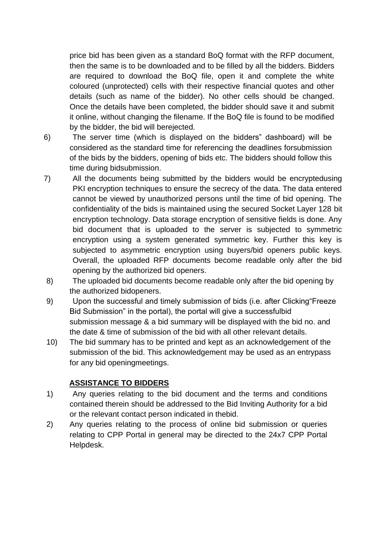price bid has been given as a standard BoQ format with the RFP document, then the same is to be downloaded and to be filled by all the bidders. Bidders are required to download the BoQ file, open it and complete the white coloured (unprotected) cells with their respective financial quotes and other details (such as name of the bidder). No other cells should be changed. Once the details have been completed, the bidder should save it and submit it online, without changing the filename. If the BoQ file is found to be modified by the bidder, the bid will berejected.

- 6) The server time (which is displayed on the bidders" dashboard) will be considered as the standard time for referencing the deadlines forsubmission of the bids by the bidders, opening of bids etc. The bidders should follow this time during bidsubmission.
- 7) All the documents being submitted by the bidders would be encryptedusing PKI encryption techniques to ensure the secrecy of the data. The data entered cannot be viewed by unauthorized persons until the time of bid opening. The confidentiality of the bids is maintained using the secured Socket Layer 128 bit encryption technology. Data storage encryption of sensitive fields is done. Any bid document that is uploaded to the server is subjected to symmetric encryption using a system generated symmetric key. Further this key is subjected to asymmetric encryption using buyers/bid openers public keys. Overall, the uploaded RFP documents become readable only after the bid opening by the authorized bid openers.
- 8) The uploaded bid documents become readable only after the bid opening by the authorized bidopeners.
- 9) Upon the successful and timely submission of bids (i.e. after Clicking"Freeze Bid Submission" in the portal), the portal will give a successfulbid submission message & a bid summary will be displayed with the bid no. and the date & time of submission of the bid with all other relevant details.
- 10) The bid summary has to be printed and kept as an acknowledgement of the submission of the bid. This acknowledgement may be used as an entrypass for any bid openingmeetings.

## **ASSISTANCE TO BIDDERS**

- 1) Any queries relating to the bid document and the terms and conditions contained therein should be addressed to the Bid Inviting Authority for a bid or the relevant contact person indicated in thebid.
- 2) Any queries relating to the process of online bid submission or queries relating to CPP Portal in general may be directed to the 24x7 CPP Portal Helpdesk.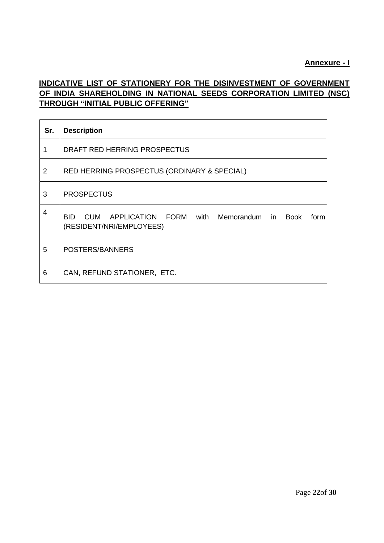**Annexure - I**

# **INDICATIVE LIST OF STATIONERY FOR THE DISINVESTMENT OF GOVERNMENT OF INDIA SHAREHOLDING IN NATIONAL SEEDS CORPORATION LIMITED (NSC) THROUGH "INITIAL PUBLIC OFFERING"**

| Sr.              | <b>Description</b>                                                                   |  |  |  |  |
|------------------|--------------------------------------------------------------------------------------|--|--|--|--|
| 1                | DRAFT RED HERRING PROSPECTUS                                                         |  |  |  |  |
| 2                | RED HERRING PROSPECTUS (ORDINARY & SPECIAL)                                          |  |  |  |  |
| 3                | <b>PROSPECTUS</b>                                                                    |  |  |  |  |
| $\boldsymbol{4}$ | BID CUM APPLICATION FORM with Memorandum in Book<br>form<br>(RESIDENT/NRI/EMPLOYEES) |  |  |  |  |
| 5                | POSTERS/BANNERS                                                                      |  |  |  |  |
| 6                | CAN, REFUND STATIONER, ETC.                                                          |  |  |  |  |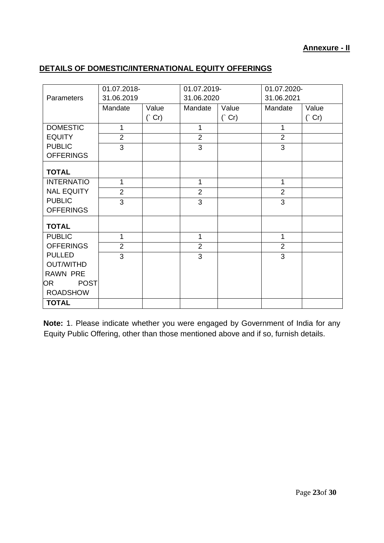## **Annexure - II**

## **DETAILS OF DOMESTIC/INTERNATIONAL EQUITY OFFERINGS**

|                    | 01.07.2018-    |       | 01.07.2019-    |            | 01.07.2020-    |            |  |
|--------------------|----------------|-------|----------------|------------|----------------|------------|--|
| Parameters         | 31.06.2019     |       |                | 31.06.2020 |                | 31.06.2021 |  |
|                    | Mandate        | Value | Mandate        | Value      | Mandate        | Value      |  |
|                    |                | (C)   |                | (C)        |                | (C)        |  |
| <b>DOMESTIC</b>    | $\mathbf{1}$   |       | $\mathbf{1}$   |            | 1              |            |  |
| <b>EQUITY</b>      | $\overline{2}$ |       | $\overline{2}$ |            | $\overline{2}$ |            |  |
| <b>PUBLIC</b>      | 3              |       | 3              |            | 3              |            |  |
| <b>OFFERINGS</b>   |                |       |                |            |                |            |  |
| <b>TOTAL</b>       |                |       |                |            |                |            |  |
| <b>INTERNATIO</b>  | $\mathbf{1}$   |       | $\mathbf{1}$   |            | $\mathbf{1}$   |            |  |
| <b>NAL EQUITY</b>  | $\overline{2}$ |       | $\overline{2}$ |            | $\overline{2}$ |            |  |
| <b>PUBLIC</b>      | 3              |       | 3              |            | 3              |            |  |
| <b>OFFERINGS</b>   |                |       |                |            |                |            |  |
| <b>TOTAL</b>       |                |       |                |            |                |            |  |
| <b>PUBLIC</b>      | $\mathbf{1}$   |       | $\mathbf{1}$   |            | $\mathbf{1}$   |            |  |
| <b>OFFERINGS</b>   | $\overline{2}$ |       | $\overline{2}$ |            | $\overline{2}$ |            |  |
| <b>PULLED</b>      | $\overline{3}$ |       | 3              |            | $\overline{3}$ |            |  |
| <b>OUT/WITHD</b>   |                |       |                |            |                |            |  |
| <b>RAWN PRE</b>    |                |       |                |            |                |            |  |
| OR.<br><b>POST</b> |                |       |                |            |                |            |  |
| <b>ROADSHOW</b>    |                |       |                |            |                |            |  |
| <b>TOTAL</b>       |                |       |                |            |                |            |  |

**Note:** 1. Please indicate whether you were engaged by Government of India for any Equity Public Offering, other than those mentioned above and if so, furnish details.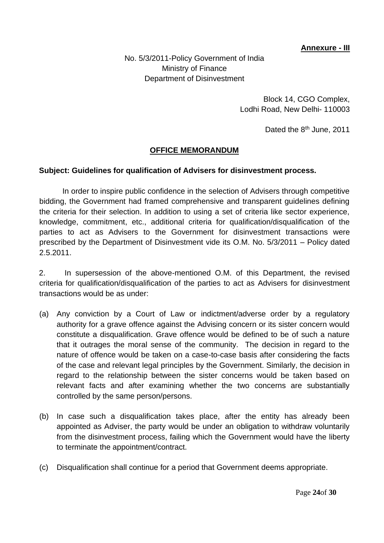## **Annexure - III**

No. 5/3/2011-Policy Government of India Ministry of Finance Department of Disinvestment

> Block 14, CGO Complex, Lodhi Road, New Delhi- 110003

> > Dated the 8<sup>th</sup> June, 2011

#### **OFFICE MEMORANDUM**

#### **Subject: Guidelines for qualification of Advisers for disinvestment process.**

In order to inspire public confidence in the selection of Advisers through competitive bidding, the Government had framed comprehensive and transparent guidelines defining the criteria for their selection. In addition to using a set of criteria like sector experience, knowledge, commitment, etc., additional criteria for qualification/disqualification of the parties to act as Advisers to the Government for disinvestment transactions were prescribed by the Department of Disinvestment vide its O.M. No. 5/3/2011 – Policy dated 2.5.2011.

2. In supersession of the above-mentioned O.M. of this Department, the revised criteria for qualification/disqualification of the parties to act as Advisers for disinvestment transactions would be as under:

- (a) Any conviction by a Court of Law or indictment/adverse order by a regulatory authority for a grave offence against the Advising concern or its sister concern would constitute a disqualification. Grave offence would be defined to be of such a nature that it outrages the moral sense of the community. The decision in regard to the nature of offence would be taken on a case-to-case basis after considering the facts of the case and relevant legal principles by the Government. Similarly, the decision in regard to the relationship between the sister concerns would be taken based on relevant facts and after examining whether the two concerns are substantially controlled by the same person/persons.
- (b) In case such a disqualification takes place, after the entity has already been appointed as Adviser, the party would be under an obligation to withdraw voluntarily from the disinvestment process, failing which the Government would have the liberty to terminate the appointment/contract.
- (c) Disqualification shall continue for a period that Government deems appropriate.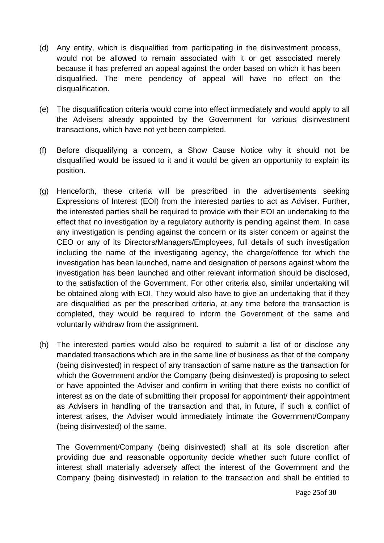- (d) Any entity, which is disqualified from participating in the disinvestment process, would not be allowed to remain associated with it or get associated merely because it has preferred an appeal against the order based on which it has been disqualified. The mere pendency of appeal will have no effect on the disqualification.
- (e) The disqualification criteria would come into effect immediately and would apply to all the Advisers already appointed by the Government for various disinvestment transactions, which have not yet been completed.
- (f) Before disqualifying a concern, a Show Cause Notice why it should not be disqualified would be issued to it and it would be given an opportunity to explain its position.
- (g) Henceforth, these criteria will be prescribed in the advertisements seeking Expressions of Interest (EOI) from the interested parties to act as Adviser. Further, the interested parties shall be required to provide with their EOI an undertaking to the effect that no investigation by a regulatory authority is pending against them. In case any investigation is pending against the concern or its sister concern or against the CEO or any of its Directors/Managers/Employees, full details of such investigation including the name of the investigating agency, the charge/offence for which the investigation has been launched, name and designation of persons against whom the investigation has been launched and other relevant information should be disclosed, to the satisfaction of the Government. For other criteria also, similar undertaking will be obtained along with EOI. They would also have to give an undertaking that if they are disqualified as per the prescribed criteria, at any time before the transaction is completed, they would be required to inform the Government of the same and voluntarily withdraw from the assignment.
- (h) The interested parties would also be required to submit a list of or disclose any mandated transactions which are in the same line of business as that of the company (being disinvested) in respect of any transaction of same nature as the transaction for which the Government and/or the Company (being disinvested) is proposing to select or have appointed the Adviser and confirm in writing that there exists no conflict of interest as on the date of submitting their proposal for appointment/ their appointment as Advisers in handling of the transaction and that, in future, if such a conflict of interest arises, the Adviser would immediately intimate the Government/Company (being disinvested) of the same.

The Government/Company (being disinvested) shall at its sole discretion after providing due and reasonable opportunity decide whether such future conflict of interest shall materially adversely affect the interest of the Government and the Company (being disinvested) in relation to the transaction and shall be entitled to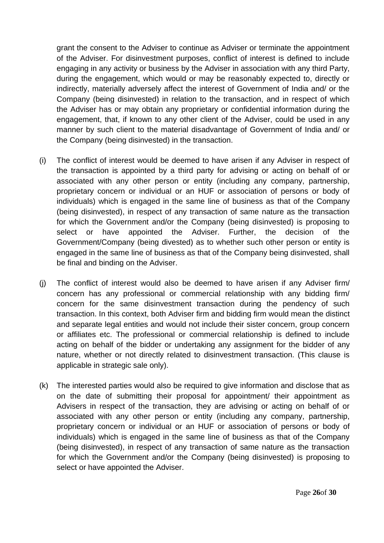grant the consent to the Adviser to continue as Adviser or terminate the appointment of the Adviser. For disinvestment purposes, conflict of interest is defined to include engaging in any activity or business by the Adviser in association with any third Party, during the engagement, which would or may be reasonably expected to, directly or indirectly, materially adversely affect the interest of Government of India and/ or the Company (being disinvested) in relation to the transaction, and in respect of which the Adviser has or may obtain any proprietary or confidential information during the engagement, that, if known to any other client of the Adviser, could be used in any manner by such client to the material disadvantage of Government of India and/ or the Company (being disinvested) in the transaction.

- (i) The conflict of interest would be deemed to have arisen if any Adviser in respect of the transaction is appointed by a third party for advising or acting on behalf of or associated with any other person or entity (including any company, partnership, proprietary concern or individual or an HUF or association of persons or body of individuals) which is engaged in the same line of business as that of the Company (being disinvested), in respect of any transaction of same nature as the transaction for which the Government and/or the Company (being disinvested) is proposing to select or have appointed the Adviser. Further, the decision of the Government/Company (being divested) as to whether such other person or entity is engaged in the same line of business as that of the Company being disinvested, shall be final and binding on the Adviser.
- (j) The conflict of interest would also be deemed to have arisen if any Adviser firm/ concern has any professional or commercial relationship with any bidding firm/ concern for the same disinvestment transaction during the pendency of such transaction. In this context, both Adviser firm and bidding firm would mean the distinct and separate legal entities and would not include their sister concern, group concern or affiliates etc. The professional or commercial relationship is defined to include acting on behalf of the bidder or undertaking any assignment for the bidder of any nature, whether or not directly related to disinvestment transaction. (This clause is applicable in strategic sale only).
- (k) The interested parties would also be required to give information and disclose that as on the date of submitting their proposal for appointment/ their appointment as Advisers in respect of the transaction, they are advising or acting on behalf of or associated with any other person or entity (including any company, partnership, proprietary concern or individual or an HUF or association of persons or body of individuals) which is engaged in the same line of business as that of the Company (being disinvested), in respect of any transaction of same nature as the transaction for which the Government and/or the Company (being disinvested) is proposing to select or have appointed the Adviser.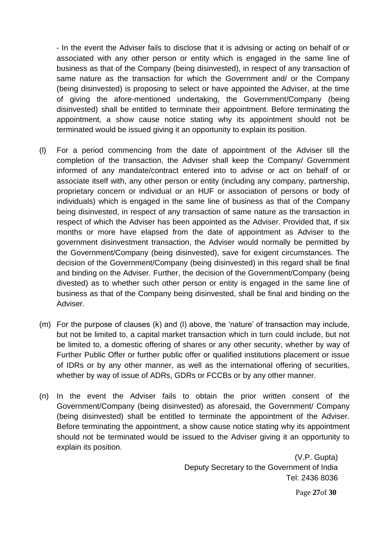- In the event the Adviser fails to disclose that it is advising or acting on behalf of or associated with any other person or entity which is engaged in the same line of business as that of the Company (being disinvested), in respect of any transaction of same nature as the transaction for which the Government and/ or the Company (being disinvested) is proposing to select or have appointed the Adviser, at the time of giving the afore-mentioned undertaking, the Government/Company (being disinvested) shall be entitled to terminate their appointment. Before terminating the appointment, a show cause notice stating why its appointment should not be terminated would be issued giving it an opportunity to explain its position.

- (l) For a period commencing from the date of appointment of the Adviser till the completion of the transaction, the Adviser shall keep the Company/ Government informed of any mandate/contract entered into to advise or act on behalf of or associate itself with, any other person or entity (including any company, partnership, proprietary concern or individual or an HUF or association of persons or body of individuals) which is engaged in the same line of business as that of the Company being disinvested, in respect of any transaction of same nature as the transaction in respect of which the Adviser has been appointed as the Adviser. Provided that, if six months or more have elapsed from the date of appointment as Adviser to the government disinvestment transaction, the Adviser would normally be permitted by the Government/Company (being disinvested), save for exigent circumstances. The decision of the Government/Company (being disinvested) in this regard shall be final and binding on the Adviser. Further, the decision of the Government/Company (being divested) as to whether such other person or entity is engaged in the same line of business as that of the Company being disinvested, shall be final and binding on the Adviser.
- (m) For the purpose of clauses (k) and (l) above, the 'nature' of transaction may include, but not be limited to, a capital market transaction which in turn could include, but not be limited to, a domestic offering of shares or any other security, whether by way of Further Public Offer or further public offer or qualified institutions placement or issue of IDRs or by any other manner, as well as the international offering of securities, whether by way of issue of ADRs, GDRs or FCCBs or by any other manner.
- (n) In the event the Adviser fails to obtain the prior written consent of the Government/Company (being disinvested) as aforesaid, the Government/ Company (being disinvested) shall be entitled to terminate the appointment of the Adviser. Before terminating the appointment, a show cause notice stating why its appointment should not be terminated would be issued to the Adviser giving it an opportunity to explain its position.

(V.P. Gupta) Deputy Secretary to the Government of India Tel: 2436 8036

Page **27**of **30**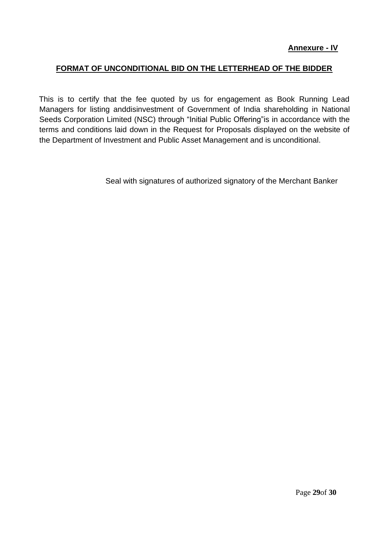### **Annexure - IV**

#### **FORMAT OF UNCONDITIONAL BID ON THE LETTERHEAD OF THE BIDDER**

This is to certify that the fee quoted by us for engagement as Book Running Lead Managers for listing anddisinvestment of Government of India shareholding in National Seeds Corporation Limited (NSC) through "Initial Public Offering"is in accordance with the terms and conditions laid down in the Request for Proposals displayed on the website of the Department of Investment and Public Asset Management and is unconditional.

Seal with signatures of authorized signatory of the Merchant Banker